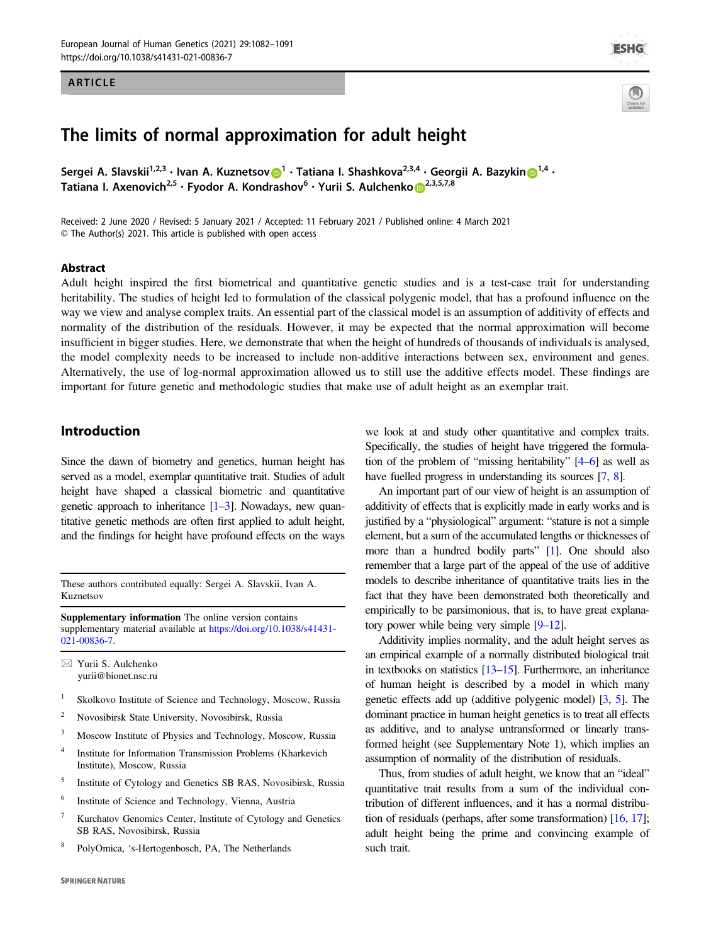## ARTICLE



# The limits of normal approximation for adult height

Sergei A. Sla[v](http://orcid.org/0000-0002-4873-0729)skii $^{1,2,3}\cdot$  $^{1,2,3}\cdot$  $^{1,2,3}\cdot$  Ivan A. Kuznetsov $\bigcirc^1\cdot$  Tatiana I. Shashkova $^{2,3,4}\cdot$  Georgii A. Bazykin $\bigcirc^{1,4}\cdot$ Tatiana I. Axen[o](http://orcid.org/0000-0002-7899-1575)vich<sup>[2](http://orcid.org/0000-0002-7899-1575),5</sup> • Fyodor A. Kondrashov<sup>6</sup> • Yurii S. Aulchenko D<sup>2,3,5,7,8</sup>

Received: 2 June 2020 / Revised: 5 January 2021 / Accepted: 11 February 2021 / Published online: 4 March 2021 © The Author(s) 2021. This article is published with open access

## Abstract

Adult height inspired the first biometrical and quantitative genetic studies and is a test-case trait for understanding heritability. The studies of height led to formulation of the classical polygenic model, that has a profound influence on the way we view and analyse complex traits. An essential part of the classical model is an assumption of additivity of effects and normality of the distribution of the residuals. However, it may be expected that the normal approximation will become insufficient in bigger studies. Here, we demonstrate that when the height of hundreds of thousands of individuals is analysed, the model complexity needs to be increased to include non-additive interactions between sex, environment and genes. Alternatively, the use of log-normal approximation allowed us to still use the additive effects model. These findings are important for future genetic and methodologic studies that make use of adult height as an exemplar trait.

# Introduction

Since the dawn of biometry and genetics, human height has served as a model, exemplar quantitative trait. Studies of adult height have shaped a classical biometric and quantitative genetic approach to inheritance [[1](#page-8-0)–[3\]](#page-8-0). Nowadays, new quantitative genetic methods are often first applied to adult height, and the findings for height have profound effects on the ways

These authors contributed equally: Sergei A. Slavskii, Ivan A. Kuznetsov

Supplementary information The online version contains supplementary material available at [https://doi.org/10.1038/s41431-](https://doi.org/10.1038/s41431-021-00836-7) [021-00836-7.](https://doi.org/10.1038/s41431-021-00836-7)

 $\boxtimes$  Yurii S. Aulchenko [yurii@bionet.nsc.ru](mailto:yurii@bionet.nsc.ru)

- <sup>1</sup> Skolkovo Institute of Science and Technology, Moscow, Russia
- <sup>2</sup> Novosibirsk State University, Novosibirsk, Russia
- <sup>3</sup> Moscow Institute of Physics and Technology, Moscow, Russia
- <sup>4</sup> Institute for Information Transmission Problems (Kharkevich Institute), Moscow, Russia
- <sup>5</sup> Institute of Cytology and Genetics SB RAS, Novosibirsk, Russia
- <sup>6</sup> Institute of Science and Technology, Vienna, Austria
- <sup>7</sup> Kurchatov Genomics Center, Institute of Cytology and Genetics SB RAS, Novosibirsk, Russia
- <sup>8</sup> PolyOmica, 's-Hertogenbosch, PA, The Netherlands

we look at and study other quantitative and complex traits. Specifically, the studies of height have triggered the formulation of the problem of "missing heritability" [\[4](#page-8-0)–[6\]](#page-8-0) as well as have fuelled progress in understanding its sources [[7](#page-8-0), [8\]](#page-8-0).

An important part of our view of height is an assumption of additivity of effects that is explicitly made in early works and is justified by a "physiological" argument: "stature is not a simple element, but a sum of the accumulated lengths or thicknesses of more than a hundred bodily parts" [[1](#page-8-0)]. One should also remember that a large part of the appeal of the use of additive models to describe inheritance of quantitative traits lies in the fact that they have been demonstrated both theoretically and empirically to be parsimonious, that is, to have great explanatory power while being very simple [\[9](#page-8-0)–[12](#page-8-0)].

Additivity implies normality, and the adult height serves as an empirical example of a normally distributed biological trait in textbooks on statistics [[13](#page-8-0)–[15](#page-8-0)]. Furthermore, an inheritance of human height is described by a model in which many genetic effects add up (additive polygenic model) [\[3,](#page-8-0) [5](#page-8-0)]. The dominant practice in human height genetics is to treat all effects as additive, and to analyse untransformed or linearly transformed height (see Supplementary Note 1), which implies an assumption of normality of the distribution of residuals.

Thus, from studies of adult height, we know that an "ideal" quantitative trait results from a sum of the individual contribution of different influences, and it has a normal distribution of residuals (perhaps, after some transformation) [\[16,](#page-8-0) [17\]](#page-8-0); adult height being the prime and convincing example of such trait.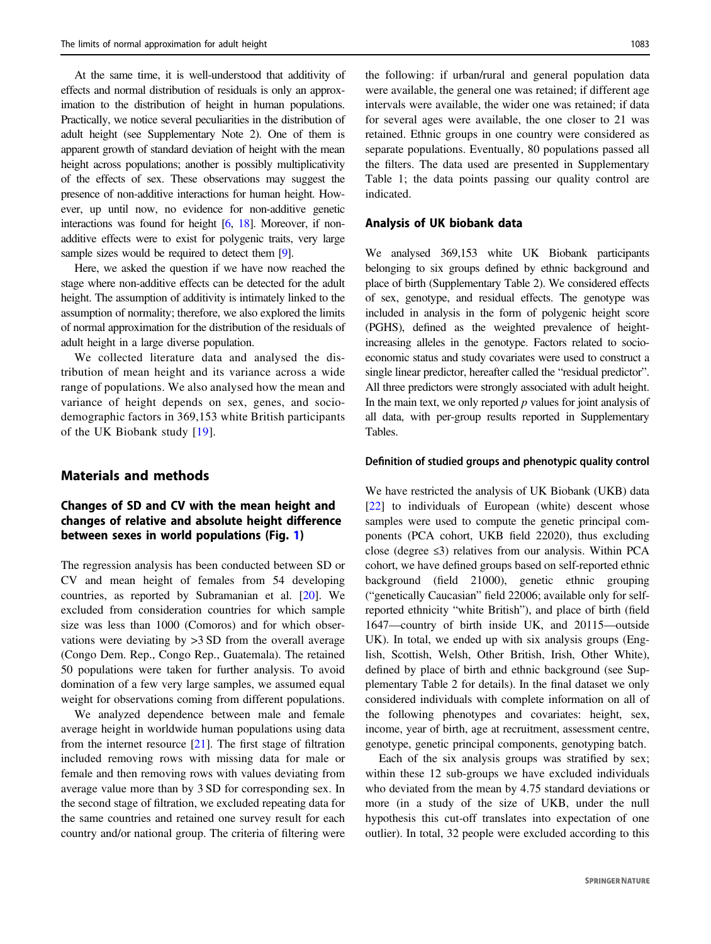At the same time, it is well-understood that additivity of effects and normal distribution of residuals is only an approximation to the distribution of height in human populations. Practically, we notice several peculiarities in the distribution of adult height (see Supplementary Note 2). One of them is apparent growth of standard deviation of height with the mean height across populations; another is possibly multiplicativity of the effects of sex. These observations may suggest the presence of non-additive interactions for human height. However, up until now, no evidence for non-additive genetic interactions was found for height [[6](#page-8-0), [18](#page-8-0)]. Moreover, if nonadditive effects were to exist for polygenic traits, very large sample sizes would be required to detect them [\[9\]](#page-8-0).

Here, we asked the question if we have now reached the stage where non-additive effects can be detected for the adult height. The assumption of additivity is intimately linked to the assumption of normality; therefore, we also explored the limits of normal approximation for the distribution of the residuals of adult height in a large diverse population.

We collected literature data and analysed the distribution of mean height and its variance across a wide range of populations. We also analysed how the mean and variance of height depends on sex, genes, and sociodemographic factors in 369,153 white British participants of the UK Biobank study [[19](#page-8-0)].

# Materials and methods

## Changes of SD and CV with the mean height and changes of relative and absolute height difference between sexes in world populations (Fig. [1](#page-2-0))

The regression analysis has been conducted between SD or CV and mean height of females from 54 developing countries, as reported by Subramanian et al. [[20\]](#page-8-0). We excluded from consideration countries for which sample size was less than 1000 (Comoros) and for which observations were deviating by >3 SD from the overall average (Congo Dem. Rep., Congo Rep., Guatemala). The retained 50 populations were taken for further analysis. To avoid domination of a few very large samples, we assumed equal weight for observations coming from different populations.

We analyzed dependence between male and female average height in worldwide human populations using data from the internet resource [[21\]](#page-8-0). The first stage of filtration included removing rows with missing data for male or female and then removing rows with values deviating from average value more than by 3 SD for corresponding sex. In the second stage of filtration, we excluded repeating data for the same countries and retained one survey result for each country and/or national group. The criteria of filtering were

the following: if urban/rural and general population data were available, the general one was retained; if different age intervals were available, the wider one was retained; if data for several ages were available, the one closer to 21 was retained. Ethnic groups in one country were considered as separate populations. Eventually, 80 populations passed all the filters. The data used are presented in Supplementary Table 1; the data points passing our quality control are indicated.

## Analysis of UK biobank data

We analysed 369,153 white UK Biobank participants belonging to six groups defined by ethnic background and place of birth (Supplementary Table 2). We considered effects of sex, genotype, and residual effects. The genotype was included in analysis in the form of polygenic height score (PGHS), defined as the weighted prevalence of heightincreasing alleles in the genotype. Factors related to socioeconomic status and study covariates were used to construct a single linear predictor, hereafter called the "residual predictor". All three predictors were strongly associated with adult height. In the main text, we only reported  $p$  values for joint analysis of all data, with per-group results reported in Supplementary Tables.

## Definition of studied groups and phenotypic quality control

We have restricted the analysis of UK Biobank (UKB) data [\[22](#page-9-0)] to individuals of European (white) descent whose samples were used to compute the genetic principal components (PCA cohort, UKB field 22020), thus excluding close (degree ≤3) relatives from our analysis. Within PCA cohort, we have defined groups based on self-reported ethnic background (field 21000), genetic ethnic grouping ("genetically Caucasian" field 22006; available only for selfreported ethnicity "white British"), and place of birth (field 1647—country of birth inside UK, and 20115—outside UK). In total, we ended up with six analysis groups (English, Scottish, Welsh, Other British, Irish, Other White), defined by place of birth and ethnic background (see Supplementary Table 2 for details). In the final dataset we only considered individuals with complete information on all of the following phenotypes and covariates: height, sex, income, year of birth, age at recruitment, assessment centre, genotype, genetic principal components, genotyping batch.

Each of the six analysis groups was stratified by sex; within these 12 sub-groups we have excluded individuals who deviated from the mean by 4.75 standard deviations or more (in a study of the size of UKB, under the null hypothesis this cut-off translates into expectation of one outlier). In total, 32 people were excluded according to this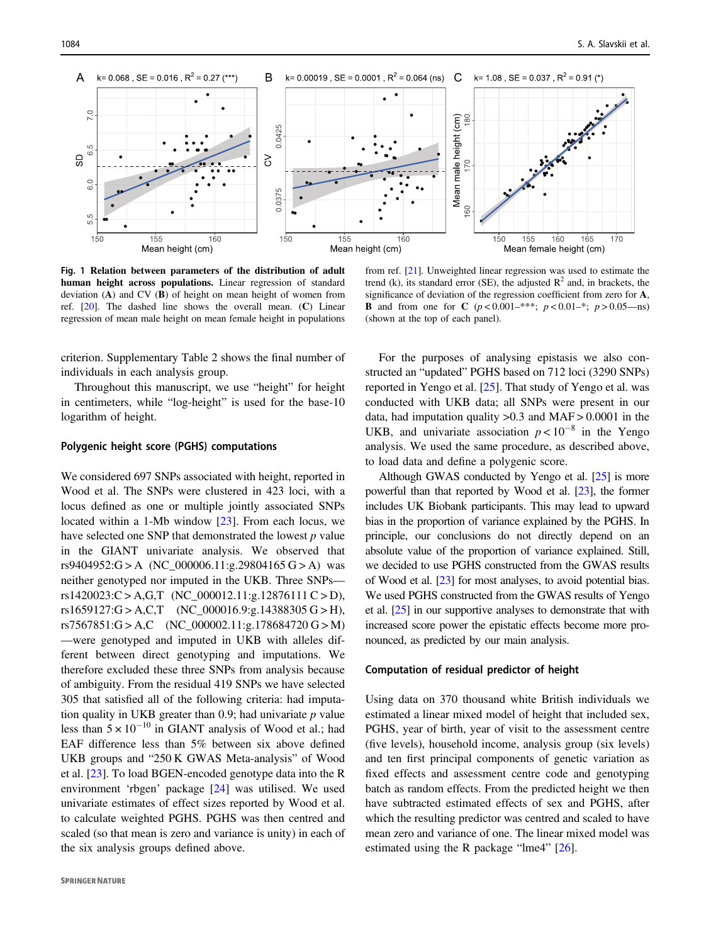<span id="page-2-0"></span>

Fig. 1 Relation between parameters of the distribution of adult human height across populations. Linear regression of standard deviation (A) and CV (B) of height on mean height of women from ref.  $[20]$ . The dashed line shows the overall mean.  $(C)$  Linear regression of mean male height on mean female height in populations

from ref. [[21](#page-8-0)]. Unweighted linear regression was used to estimate the trend (k), its standard error (SE), the adjusted  $\mathbb{R}^2$  and, in brackets, the significance of deviation of the regression coefficient from zero for A, **B** and from one for **C**  $(p < 0.001-***; p < 0.01-*; p > 0.05$ —ns) (shown at the top of each panel).

criterion. Supplementary Table 2 shows the final number of individuals in each analysis group.

Throughout this manuscript, we use "height" for height in centimeters, while "log-height" is used for the base-10 logarithm of height.

## Polygenic height score (PGHS) computations

We considered 697 SNPs associated with height, reported in Wood et al. The SNPs were clustered in 423 loci, with a locus defined as one or multiple jointly associated SNPs located within a 1-Mb window [[23\]](#page-9-0). From each locus, we have selected one SNP that demonstrated the lowest  $p$  value in the GIANT univariate analysis. We observed that rs9404952:G > A (NC\_000006.11:g.29804165 G > A) was neither genotyped nor imputed in the UKB. Three SNPs rs1420023: $C > A$ , $G$ , $T$  (NC\_000012.11:g.12876111  $C > D$ ),  $rs1659127:G > A, C, T$  (NC\_000016.9:g.14388305 G > H), rs7567851:G > A,C (NC\_000002.11:g.178684720 G > M) —were genotyped and imputed in UKB with alleles different between direct genotyping and imputations. We therefore excluded these three SNPs from analysis because of ambiguity. From the residual 419 SNPs we have selected 305 that satisfied all of the following criteria: had imputation quality in UKB greater than 0.9; had univariate  $p$  value less than  $5 \times 10^{-10}$  in GIANT analysis of Wood et al.; had EAF difference less than 5% between six above defined UKB groups and "250 K GWAS Meta-analysis" of Wood et al. [[23\]](#page-9-0). To load BGEN-encoded genotype data into the R environment 'rbgen' package [\[24](#page-9-0)] was utilised. We used univariate estimates of effect sizes reported by Wood et al. to calculate weighted PGHS. PGHS was then centred and scaled (so that mean is zero and variance is unity) in each of the six analysis groups defined above.

For the purposes of analysing epistasis we also constructed an "updated" PGHS based on 712 loci (3290 SNPs) reported in Yengo et al. [\[25](#page-9-0)]. That study of Yengo et al. was conducted with UKB data; all SNPs were present in our data, had imputation quality >0.3 and MAF > 0.0001 in the UKB, and univariate association  $p < 10^{-8}$  in the Yengo analysis. We used the same procedure, as described above, to load data and define a polygenic score.

Although GWAS conducted by Yengo et al. [\[25](#page-9-0)] is more powerful than that reported by Wood et al. [\[23](#page-9-0)], the former includes UK Biobank participants. This may lead to upward bias in the proportion of variance explained by the PGHS. In principle, our conclusions do not directly depend on an absolute value of the proportion of variance explained. Still, we decided to use PGHS constructed from the GWAS results of Wood et al. [\[23\]](#page-9-0) for most analyses, to avoid potential bias. We used PGHS constructed from the GWAS results of Yengo et al. [\[25\]](#page-9-0) in our supportive analyses to demonstrate that with increased score power the epistatic effects become more pronounced, as predicted by our main analysis.

## Computation of residual predictor of height

Using data on 370 thousand white British individuals we estimated a linear mixed model of height that included sex, PGHS, year of birth, year of visit to the assessment centre (five levels), household income, analysis group (six levels) and ten first principal components of genetic variation as fixed effects and assessment centre code and genotyping batch as random effects. From the predicted height we then have subtracted estimated effects of sex and PGHS, after which the resulting predictor was centred and scaled to have mean zero and variance of one. The linear mixed model was estimated using the R package "lme4" [\[26](#page-9-0)].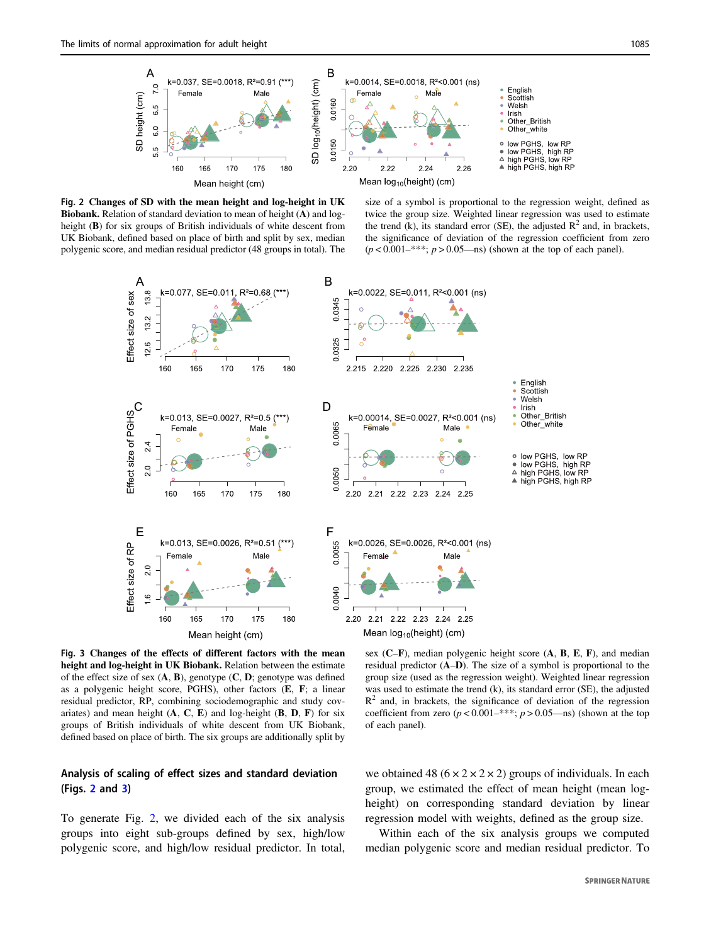<span id="page-3-0"></span>

Fig. 2 Changes of SD with the mean height and log-height in UK Biobank. Relation of standard deviation to mean of height (A) and logheight (B) for six groups of British individuals of white descent from UK Biobank, defined based on place of birth and split by sex, median polygenic score, and median residual predictor (48 groups in total). The

size of a symbol is proportional to the regression weight, defined as twice the group size. Weighted linear regression was used to estimate the trend (k), its standard error (SE), the adjusted  $\mathbb{R}^2$  and, in brackets, the significance of deviation of the regression coefficient from zero  $(p < 0.001-***; p > 0.05$ —ns) (shown at the top of each panel).



Fig. 3 Changes of the effects of different factors with the mean height and log-height in UK Biobank. Relation between the estimate of the effect size of sex  $(A, B)$ , genotype  $(C, D)$ ; genotype was defined as a polygenic height score, PGHS), other factors (E, F; a linear residual predictor, RP, combining sociodemographic and study covariates) and mean height  $(A, C, E)$  and log-height  $(B, D, F)$  for six groups of British individuals of white descent from UK Biobank, defined based on place of birth. The six groups are additionally split by

## Analysis of scaling of effect sizes and standard deviation (Figs. 2 and 3)

To generate Fig. 2, we divided each of the six analysis groups into eight sub-groups defined by sex, high/low polygenic score, and high/low residual predictor. In total,

sex  $(C-F)$ , median polygenic height score  $(A, B, E, F)$ , and median residual predictor (A–D). The size of a symbol is proportional to the group size (used as the regression weight). Weighted linear regression was used to estimate the trend (k), its standard error (SE), the adjusted  $R<sup>2</sup>$  and, in brackets, the significance of deviation of the regression coefficient from zero  $(p < 0.001-***; p > 0.05$ —ns) (shown at the top of each panel).

we obtained 48 ( $6 \times 2 \times 2 \times 2$ ) groups of individuals. In each group, we estimated the effect of mean height (mean logheight) on corresponding standard deviation by linear regression model with weights, defined as the group size.

Within each of the six analysis groups we computed median polygenic score and median residual predictor. To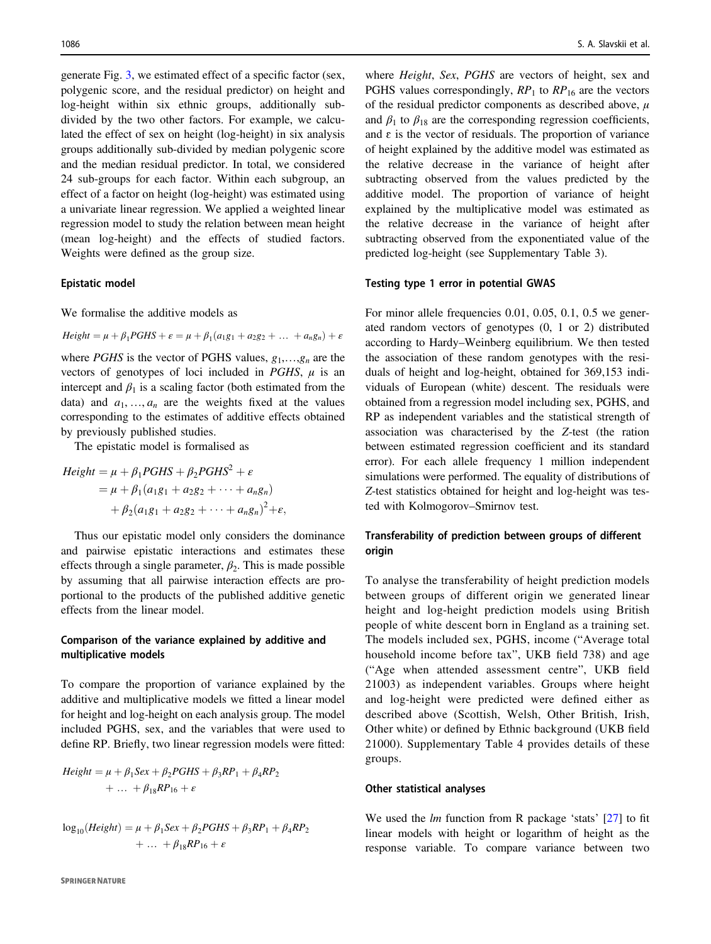generate Fig. [3](#page-3-0), we estimated effect of a specific factor (sex, polygenic score, and the residual predictor) on height and log-height within six ethnic groups, additionally subdivided by the two other factors. For example, we calculated the effect of sex on height (log-height) in six analysis groups additionally sub-divided by median polygenic score and the median residual predictor. In total, we considered 24 sub-groups for each factor. Within each subgroup, an effect of a factor on height (log-height) was estimated using a univariate linear regression. We applied a weighted linear regression model to study the relation between mean height (mean log-height) and the effects of studied factors. Weights were defined as the group size.

## Epistatic model

We formalise the additive models as

 $Height = \mu + \beta_1 PGHS + \varepsilon = \mu + \beta_1 (a_1g_1 + a_2g_2 + ... + a_ng_n) + \varepsilon$ 

where *PGHS* is the vector of PGHS values,  $g_1, \ldots, g_n$  are the vectors of genotypes of loci included in  $PGHS$ ,  $\mu$  is an intercept and  $\beta_1$  is a scaling factor (both estimated from the data) and  $a_1, \ldots, a_n$  are the weights fixed at the values corresponding to the estimates of additive effects obtained by previously published studies.

The epistatic model is formalised as

$$
Height = \mu + \beta_1 PGHS + \beta_2 PGHS^2 + \varepsilon
$$
  
=  $\mu + \beta_1 (a_1g_1 + a_2g_2 + \dots + a_ng_n)$   
+  $\beta_2 (a_1g_1 + a_2g_2 + \dots + a_ng_n)^2 + \varepsilon$ ,

Thus our epistatic model only considers the dominance and pairwise epistatic interactions and estimates these effects through a single parameter,  $\beta_2$ . This is made possible by assuming that all pairwise interaction effects are proportional to the products of the published additive genetic effects from the linear model.

## Comparison of the variance explained by additive and multiplicative models

To compare the proportion of variance explained by the additive and multiplicative models we fitted a linear model for height and log-height on each analysis group. The model included PGHS, sex, and the variables that were used to define RP. Briefly, two linear regression models were fitted:

$$
Height = \mu + \beta_1 Sex + \beta_2 PGHS + \beta_3 RP_1 + \beta_4 RP_2
$$
  
+ ... +  $\beta_{18}RP_{16} + \varepsilon$ 

$$
log10(Height) = \mu + \beta_1 Sex + \beta_2 PGHS + \beta_3 RP_1 + \beta_4 RP_2
$$
  
+ ... +  $\beta_{18}RP_{16} + \varepsilon$ 

where Height, Sex, PGHS are vectors of height, sex and PGHS values correspondingly,  $RP_1$  to  $RP_{16}$  are the vectors of the residual predictor components as described above,  $\mu$ and  $\beta_1$  to  $\beta_{18}$  are the corresponding regression coefficients, and  $\varepsilon$  is the vector of residuals. The proportion of variance of height explained by the additive model was estimated as the relative decrease in the variance of height after subtracting observed from the values predicted by the additive model. The proportion of variance of height explained by the multiplicative model was estimated as the relative decrease in the variance of height after subtracting observed from the exponentiated value of the predicted log-height (see Supplementary Table 3).

#### Testing type 1 error in potential GWAS

For minor allele frequencies 0.01, 0.05, 0.1, 0.5 we generated random vectors of genotypes (0, 1 or 2) distributed according to Hardy–Weinberg equilibrium. We then tested the association of these random genotypes with the residuals of height and log-height, obtained for 369,153 individuals of European (white) descent. The residuals were obtained from a regression model including sex, PGHS, and RP as independent variables and the statistical strength of association was characterised by the Z-test (the ration between estimated regression coefficient and its standard error). For each allele frequency 1 million independent simulations were performed. The equality of distributions of Z-test statistics obtained for height and log-height was tested with Kolmogorov–Smirnov test.

# Transferability of prediction between groups of different origin

To analyse the transferability of height prediction models between groups of different origin we generated linear height and log-height prediction models using British people of white descent born in England as a training set. The models included sex, PGHS, income ("Average total household income before tax", UKB field 738) and age ("Age when attended assessment centre", UKB field 21003) as independent variables. Groups where height and log-height were predicted were defined either as described above (Scottish, Welsh, Other British, Irish, Other white) or defined by Ethnic background (UKB field 21000). Supplementary Table 4 provides details of these groups.

#### Other statistical analyses

We used the  $lm$  function from R package 'stats'  $[27]$  $[27]$  to fit linear models with height or logarithm of height as the response variable. To compare variance between two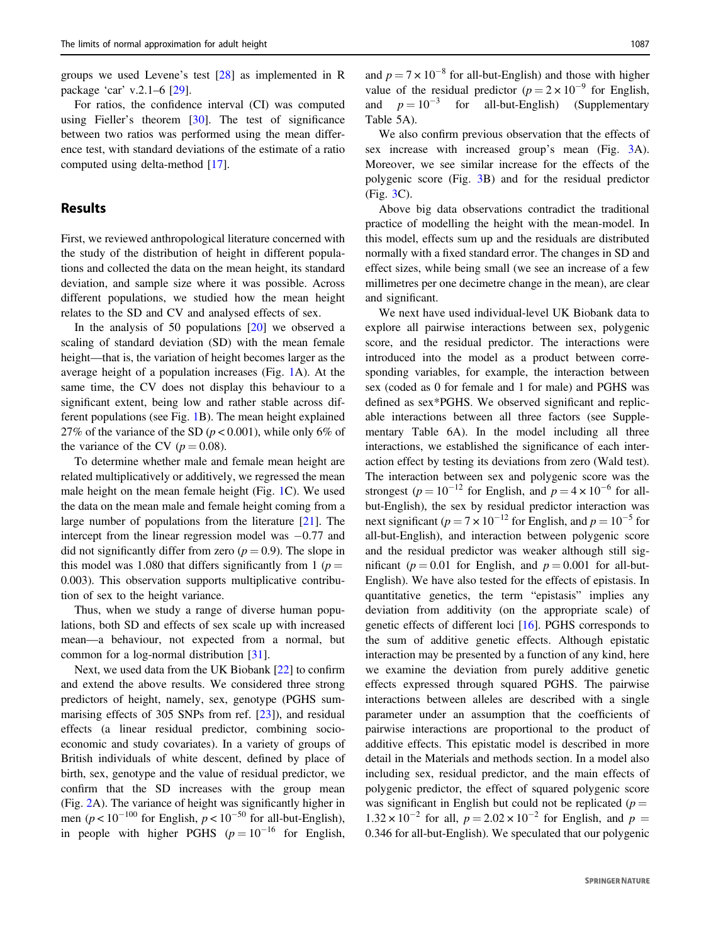groups we used Levene's test [[28\]](#page-9-0) as implemented in R package 'car' v.2.1–6 [[29\]](#page-9-0).

For ratios, the confidence interval (CI) was computed using Fieller's theorem [\[30](#page-9-0)]. The test of significance between two ratios was performed using the mean difference test, with standard deviations of the estimate of a ratio computed using delta-method [[17\]](#page-8-0).

# **Results**

First, we reviewed anthropological literature concerned with the study of the distribution of height in different populations and collected the data on the mean height, its standard deviation, and sample size where it was possible. Across different populations, we studied how the mean height relates to the SD and CV and analysed effects of sex.

In the analysis of 50 populations  $[20]$  $[20]$  we observed a scaling of standard deviation (SD) with the mean female height—that is, the variation of height becomes larger as the average height of a population increases (Fig. [1](#page-2-0)A). At the same time, the CV does not display this behaviour to a significant extent, being low and rather stable across different populations (see Fig. [1B](#page-2-0)). The mean height explained 27% of the variance of the SD ( $p < 0.001$ ), while only 6% of the variance of the CV ( $p = 0.08$ ).

To determine whether male and female mean height are related multiplicatively or additively, we regressed the mean male height on the mean female height (Fig. [1C](#page-2-0)). We used the data on the mean male and female height coming from a large number of populations from the literature [[21\]](#page-8-0). The intercept from the linear regression model was −0.77 and did not significantly differ from zero ( $p = 0.9$ ). The slope in this model was 1.080 that differs significantly from 1 ( $p =$ 0.003). This observation supports multiplicative contribution of sex to the height variance.

Thus, when we study a range of diverse human populations, both SD and effects of sex scale up with increased mean—a behaviour, not expected from a normal, but common for a log-normal distribution [[31\]](#page-9-0).

Next, we used data from the UK Biobank [\[22](#page-9-0)] to confirm and extend the above results. We considered three strong predictors of height, namely, sex, genotype (PGHS summarising effects of 305 SNPs from ref. [[23\]](#page-9-0)), and residual effects (a linear residual predictor, combining socioeconomic and study covariates). In a variety of groups of British individuals of white descent, defined by place of birth, sex, genotype and the value of residual predictor, we confirm that the SD increases with the group mean (Fig. [2](#page-3-0)A). The variance of height was significantly higher in men ( $p < 10^{-100}$  for English,  $p < 10^{-50}$  for all-but-English), in people with higher PGHS  $(p = 10^{-16}$  for English, and  $p = 7 \times 10^{-8}$  for all-but-English) and those with higher value of the residual predictor  $(p = 2 \times 10^{-9}$  for English,<br>and  $p = 10^{-3}$  for all-but-English) (Supplementary and  $p = 10^{-3}$  for Table 5A).

We also confirm previous observation that the effects of sex increase with increased group's mean (Fig. [3](#page-3-0)A). Moreover, we see similar increase for the effects of the polygenic score (Fig. [3B](#page-3-0)) and for the residual predictor (Fig. [3](#page-3-0)C).

Above big data observations contradict the traditional practice of modelling the height with the mean-model. In this model, effects sum up and the residuals are distributed normally with a fixed standard error. The changes in SD and effect sizes, while being small (we see an increase of a few millimetres per one decimetre change in the mean), are clear and significant.

We next have used individual-level UK Biobank data to explore all pairwise interactions between sex, polygenic score, and the residual predictor. The interactions were introduced into the model as a product between corresponding variables, for example, the interaction between sex (coded as 0 for female and 1 for male) and PGHS was defined as sex\*PGHS. We observed significant and replicable interactions between all three factors (see Supplementary Table 6A). In the model including all three interactions, we established the significance of each interaction effect by testing its deviations from zero (Wald test). The interaction between sex and polygenic score was the strongest ( $p = 10^{-12}$  for English, and  $p = 4 \times 10^{-6}$  for allbut-English), the sex by residual predictor interaction was next significant ( $p = 7 \times 10^{-12}$  for English, and  $p = 10^{-5}$  for all-but-English), and interaction between polygenic score and the residual predictor was weaker although still significant ( $p = 0.01$  for English, and  $p = 0.001$  for all-but-English). We have also tested for the effects of epistasis. In quantitative genetics, the term "epistasis" implies any deviation from additivity (on the appropriate scale) of genetic effects of different loci [[16\]](#page-8-0). PGHS corresponds to the sum of additive genetic effects. Although epistatic interaction may be presented by a function of any kind, here we examine the deviation from purely additive genetic effects expressed through squared PGHS. The pairwise interactions between alleles are described with a single parameter under an assumption that the coefficients of pairwise interactions are proportional to the product of additive effects. This epistatic model is described in more detail in the Materials and methods section. In a model also including sex, residual predictor, and the main effects of polygenic predictor, the effect of squared polygenic score was significant in English but could not be replicated ( $p =$  $1.32 \times 10^{-2}$  for all,  $p = 2.02 \times 10^{-2}$  for English, and  $p =$ 0.346 for all-but-English). We speculated that our polygenic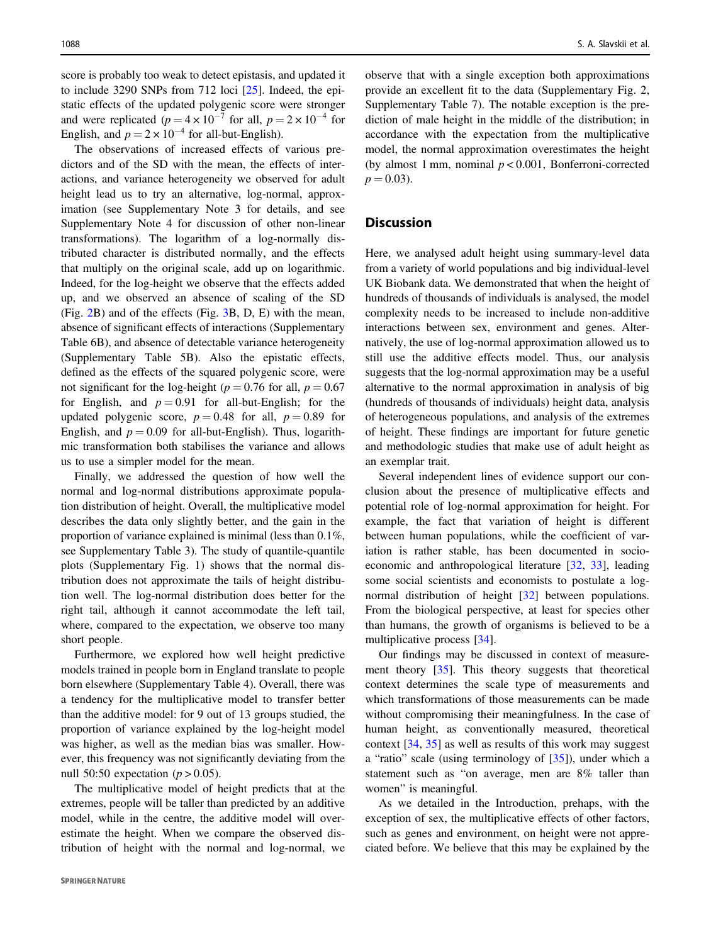score is probably too weak to detect epistasis, and updated it to include 3290 SNPs from 712 loci [\[25](#page-9-0)]. Indeed, the epistatic effects of the updated polygenic score were stronger and were replicated  $(p = 4 \times 10^{-7}$  for all,  $p = 2 \times 10^{-4}$  for English, and  $p = 2 \times 10^{-4}$  for all-but-English).

The observations of increased effects of various predictors and of the SD with the mean, the effects of interactions, and variance heterogeneity we observed for adult height lead us to try an alternative, log-normal, approximation (see Supplementary Note 3 for details, and see Supplementary Note 4 for discussion of other non-linear transformations). The logarithm of a log-normally distributed character is distributed normally, and the effects that multiply on the original scale, add up on logarithmic. Indeed, for the log-height we observe that the effects added up, and we observed an absence of scaling of the SD (Fig. [2](#page-3-0)B) and of the effects (Fig. [3B](#page-3-0), D, E) with the mean, absence of significant effects of interactions (Supplementary Table 6B), and absence of detectable variance heterogeneity (Supplementary Table 5B). Also the epistatic effects, defined as the effects of the squared polygenic score, were not significant for the log-height ( $p = 0.76$  for all,  $p = 0.67$ for English, and  $p = 0.91$  for all-but-English; for the updated polygenic score,  $p = 0.48$  for all,  $p = 0.89$  for English, and  $p = 0.09$  for all-but-English). Thus, logarithmic transformation both stabilises the variance and allows us to use a simpler model for the mean.

Finally, we addressed the question of how well the normal and log-normal distributions approximate population distribution of height. Overall, the multiplicative model describes the data only slightly better, and the gain in the proportion of variance explained is minimal (less than 0.1%, see Supplementary Table 3). The study of quantile-quantile plots (Supplementary Fig. 1) shows that the normal distribution does not approximate the tails of height distribution well. The log-normal distribution does better for the right tail, although it cannot accommodate the left tail, where, compared to the expectation, we observe too many short people.

Furthermore, we explored how well height predictive models trained in people born in England translate to people born elsewhere (Supplementary Table 4). Overall, there was a tendency for the multiplicative model to transfer better than the additive model: for 9 out of 13 groups studied, the proportion of variance explained by the log-height model was higher, as well as the median bias was smaller. However, this frequency was not significantly deviating from the null 50:50 expectation ( $p > 0.05$ ).

The multiplicative model of height predicts that at the extremes, people will be taller than predicted by an additive model, while in the centre, the additive model will overestimate the height. When we compare the observed distribution of height with the normal and log-normal, we observe that with a single exception both approximations provide an excellent fit to the data (Supplementary Fig. 2, Supplementary Table 7). The notable exception is the prediction of male height in the middle of the distribution; in accordance with the expectation from the multiplicative model, the normal approximation overestimates the height (by almost 1 mm, nominal  $p < 0.001$ , Bonferroni-corrected  $p = 0.03$ ).

## **Discussion**

Here, we analysed adult height using summary-level data from a variety of world populations and big individual-level UK Biobank data. We demonstrated that when the height of hundreds of thousands of individuals is analysed, the model complexity needs to be increased to include non-additive interactions between sex, environment and genes. Alternatively, the use of log-normal approximation allowed us to still use the additive effects model. Thus, our analysis suggests that the log-normal approximation may be a useful alternative to the normal approximation in analysis of big (hundreds of thousands of individuals) height data, analysis of heterogeneous populations, and analysis of the extremes of height. These findings are important for future genetic and methodologic studies that make use of adult height as an exemplar trait.

Several independent lines of evidence support our conclusion about the presence of multiplicative effects and potential role of log-normal approximation for height. For example, the fact that variation of height is different between human populations, while the coefficient of variation is rather stable, has been documented in socioeconomic and anthropological literature [[32,](#page-9-0) [33\]](#page-9-0), leading some social scientists and economists to postulate a lognormal distribution of height [\[32](#page-9-0)] between populations. From the biological perspective, at least for species other than humans, the growth of organisms is believed to be a multiplicative process [\[34](#page-9-0)].

Our findings may be discussed in context of measurement theory [\[35](#page-9-0)]. This theory suggests that theoretical context determines the scale type of measurements and which transformations of those measurements can be made without compromising their meaningfulness. In the case of human height, as conventionally measured, theoretical context [\[34](#page-9-0), [35\]](#page-9-0) as well as results of this work may suggest a "ratio" scale (using terminology of [\[35](#page-9-0)]), under which a statement such as "on average, men are 8% taller than women" is meaningful.

As we detailed in the Introduction, prehaps, with the exception of sex, the multiplicative effects of other factors, such as genes and environment, on height were not appreciated before. We believe that this may be explained by the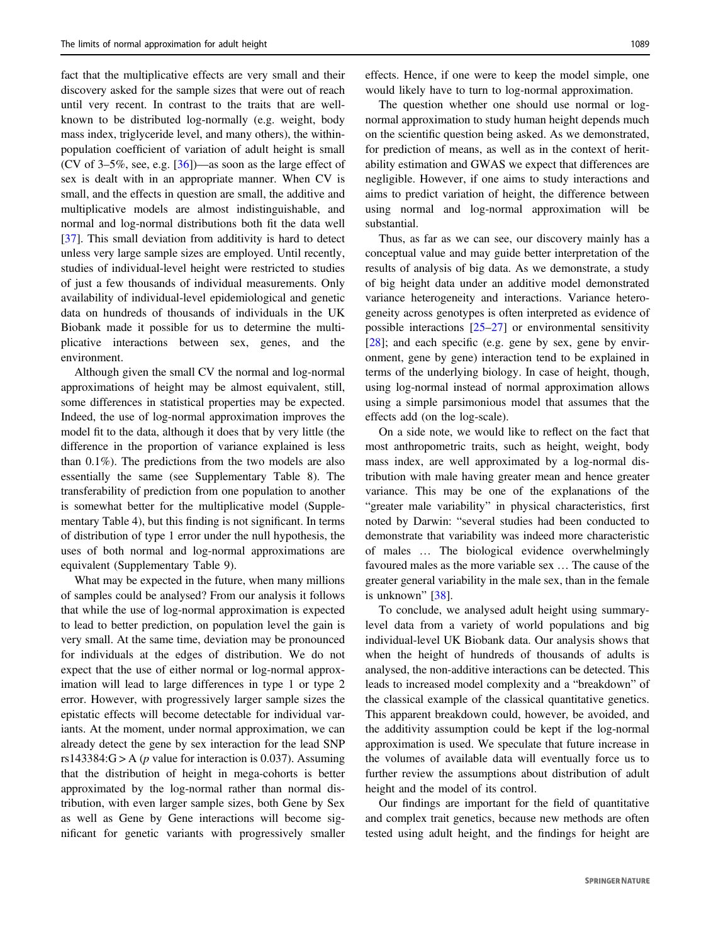fact that the multiplicative effects are very small and their discovery asked for the sample sizes that were out of reach until very recent. In contrast to the traits that are wellknown to be distributed log-normally (e.g. weight, body mass index, triglyceride level, and many others), the withinpopulation coefficient of variation of adult height is small (CV of  $3-5\%$ , see, e.g.  $\left[36\right]$ )—as soon as the large effect of sex is dealt with in an appropriate manner. When CV is small, and the effects in question are small, the additive and multiplicative models are almost indistinguishable, and normal and log-normal distributions both fit the data well [\[37](#page-9-0)]. This small deviation from additivity is hard to detect unless very large sample sizes are employed. Until recently, studies of individual-level height were restricted to studies of just a few thousands of individual measurements. Only availability of individual-level epidemiological and genetic data on hundreds of thousands of individuals in the UK Biobank made it possible for us to determine the multiplicative interactions between sex, genes, and the environment.

Although given the small CV the normal and log-normal approximations of height may be almost equivalent, still, some differences in statistical properties may be expected. Indeed, the use of log-normal approximation improves the model fit to the data, although it does that by very little (the difference in the proportion of variance explained is less than 0.1%). The predictions from the two models are also essentially the same (see Supplementary Table 8). The transferability of prediction from one population to another is somewhat better for the multiplicative model (Supplementary Table 4), but this finding is not significant. In terms of distribution of type 1 error under the null hypothesis, the uses of both normal and log-normal approximations are equivalent (Supplementary Table 9).

What may be expected in the future, when many millions of samples could be analysed? From our analysis it follows that while the use of log-normal approximation is expected to lead to better prediction, on population level the gain is very small. At the same time, deviation may be pronounced for individuals at the edges of distribution. We do not expect that the use of either normal or log-normal approximation will lead to large differences in type 1 or type 2 error. However, with progressively larger sample sizes the epistatic effects will become detectable for individual variants. At the moment, under normal approximation, we can already detect the gene by sex interaction for the lead SNP rs143384: $G > A$  (*p* value for interaction is 0.037). Assuming that the distribution of height in mega-cohorts is better approximated by the log-normal rather than normal distribution, with even larger sample sizes, both Gene by Sex as well as Gene by Gene interactions will become significant for genetic variants with progressively smaller effects. Hence, if one were to keep the model simple, one would likely have to turn to log-normal approximation.

The question whether one should use normal or lognormal approximation to study human height depends much on the scientific question being asked. As we demonstrated, for prediction of means, as well as in the context of heritability estimation and GWAS we expect that differences are negligible. However, if one aims to study interactions and aims to predict variation of height, the difference between using normal and log-normal approximation will be substantial.

Thus, as far as we can see, our discovery mainly has a conceptual value and may guide better interpretation of the results of analysis of big data. As we demonstrate, a study of big height data under an additive model demonstrated variance heterogeneity and interactions. Variance heterogeneity across genotypes is often interpreted as evidence of possible interactions [[25](#page-9-0)–[27\]](#page-9-0) or environmental sensitivity  $[28]$  $[28]$ ; and each specific (e.g. gene by sex, gene by environment, gene by gene) interaction tend to be explained in terms of the underlying biology. In case of height, though, using log-normal instead of normal approximation allows using a simple parsimonious model that assumes that the effects add (on the log-scale).

On a side note, we would like to reflect on the fact that most anthropometric traits, such as height, weight, body mass index, are well approximated by a log-normal distribution with male having greater mean and hence greater variance. This may be one of the explanations of the "greater male variability" in physical characteristics, first noted by Darwin: "several studies had been conducted to demonstrate that variability was indeed more characteristic of males … The biological evidence overwhelmingly favoured males as the more variable sex … The cause of the greater general variability in the male sex, than in the female is unknown" [\[38](#page-9-0)].

To conclude, we analysed adult height using summarylevel data from a variety of world populations and big individual-level UK Biobank data. Our analysis shows that when the height of hundreds of thousands of adults is analysed, the non-additive interactions can be detected. This leads to increased model complexity and a "breakdown" of the classical example of the classical quantitative genetics. This apparent breakdown could, however, be avoided, and the additivity assumption could be kept if the log-normal approximation is used. We speculate that future increase in the volumes of available data will eventually force us to further review the assumptions about distribution of adult height and the model of its control.

Our findings are important for the field of quantitative and complex trait genetics, because new methods are often tested using adult height, and the findings for height are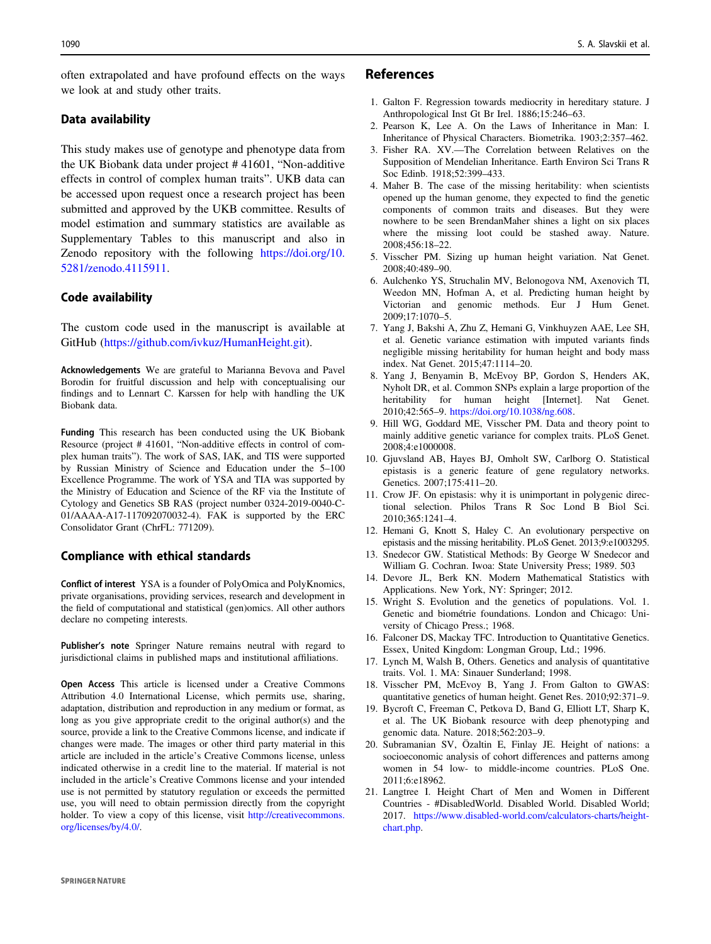<span id="page-8-0"></span>often extrapolated and have profound effects on the ways we look at and study other traits.

## Data availability

This study makes use of genotype and phenotype data from the UK Biobank data under project # 41601, "Non-additive effects in control of complex human traits". UKB data can be accessed upon request once a research project has been submitted and approved by the UKB committee. Results of model estimation and summary statistics are available as Supplementary Tables to this manuscript and also in Zenodo repository with the following [https://doi.org/10.](https://doi.org/10.5281/zenodo.4115911) [5281/zenodo.4115911.](https://doi.org/10.5281/zenodo.4115911)

## Code availability

The custom code used in the manuscript is available at GitHub [\(https://github.com/ivkuz/HumanHeight.git](https://github.com/ivkuz/HumanHeight.git)).

Acknowledgements We are grateful to Marianna Bevova and Pavel Borodin for fruitful discussion and help with conceptualising our findings and to Lennart C. Karssen for help with handling the UK Biobank data.

Funding This research has been conducted using the UK Biobank Resource (project # 41601, "Non-additive effects in control of complex human traits"). The work of SAS, IAK, and TIS were supported by Russian Ministry of Science and Education under the 5–100 Excellence Programme. The work of YSA and TIA was supported by the Ministry of Education and Science of the RF via the Institute of Cytology and Genetics SB RAS (project number 0324-2019-0040-C-01/AAAA-A17-117092070032-4). FAK is supported by the ERC Consolidator Grant (ChrFL: 771209).

## Compliance with ethical standards

Conflict of interest YSA is a founder of PolyOmica and PolyKnomics, private organisations, providing services, research and development in the field of computational and statistical (gen)omics. All other authors declare no competing interests.

Publisher's note Springer Nature remains neutral with regard to jurisdictional claims in published maps and institutional affiliations.

Open Access This article is licensed under a Creative Commons Attribution 4.0 International License, which permits use, sharing, adaptation, distribution and reproduction in any medium or format, as long as you give appropriate credit to the original author(s) and the source, provide a link to the Creative Commons license, and indicate if changes were made. The images or other third party material in this article are included in the article's Creative Commons license, unless indicated otherwise in a credit line to the material. If material is not included in the article's Creative Commons license and your intended use is not permitted by statutory regulation or exceeds the permitted use, you will need to obtain permission directly from the copyright holder. To view a copy of this license, visit [http://creativecommons.](http://creativecommons.org/licenses/by/4.0/) [org/licenses/by/4.0/.](http://creativecommons.org/licenses/by/4.0/)

## References

- 1. Galton F. Regression towards mediocrity in hereditary stature. J Anthropological Inst Gt Br Irel. 1886;15:246–63.
- 2. Pearson K, Lee A. On the Laws of Inheritance in Man: I. Inheritance of Physical Characters. Biometrika. 1903;2:357–462.
- 3. Fisher RA. XV.—The Correlation between Relatives on the Supposition of Mendelian Inheritance. Earth Environ Sci Trans R Soc Edinb. 1918;52:399–433.
- 4. Maher B. The case of the missing heritability: when scientists opened up the human genome, they expected to find the genetic components of common traits and diseases. But they were nowhere to be seen BrendanMaher shines a light on six places where the missing loot could be stashed away. Nature. 2008;456:18–22.
- 5. Visscher PM. Sizing up human height variation. Nat Genet. 2008;40:489–90.
- 6. Aulchenko YS, Struchalin MV, Belonogova NM, Axenovich TI, Weedon MN, Hofman A, et al. Predicting human height by Victorian and genomic methods. Eur J Hum Genet. 2009;17:1070–5.
- 7. Yang J, Bakshi A, Zhu Z, Hemani G, Vinkhuyzen AAE, Lee SH, et al. Genetic variance estimation with imputed variants finds negligible missing heritability for human height and body mass index. Nat Genet. 2015;47:1114–20.
- 8. Yang J, Benyamin B, McEvoy BP, Gordon S, Henders AK, Nyholt DR, et al. Common SNPs explain a large proportion of the heritability for human height [Internet]. Nat Genet. 2010;42:565–9. [https://doi.org/10.1038/ng.608.](https://doi.org/10.1038/ng.608)
- 9. Hill WG, Goddard ME, Visscher PM. Data and theory point to mainly additive genetic variance for complex traits. PLoS Genet. 2008;4:e1000008.
- 10. Gjuvsland AB, Hayes BJ, Omholt SW, Carlborg O. Statistical epistasis is a generic feature of gene regulatory networks. Genetics. 2007;175:411–20.
- 11. Crow JF. On epistasis: why it is unimportant in polygenic directional selection. Philos Trans R Soc Lond B Biol Sci. 2010;365:1241–4.
- 12. Hemani G, Knott S, Haley C. An evolutionary perspective on epistasis and the missing heritability. PLoS Genet. 2013;9:e1003295.
- 13. Snedecor GW. Statistical Methods: By George W Snedecor and William G. Cochran. Iwoa: State University Press; 1989. 503
- 14. Devore JL, Berk KN. Modern Mathematical Statistics with Applications. New York, NY: Springer; 2012.
- 15. Wright S. Evolution and the genetics of populations. Vol. 1. Genetic and biométrie foundations. London and Chicago: University of Chicago Press.; 1968.
- 16. Falconer DS, Mackay TFC. Introduction to Quantitative Genetics. Essex, United Kingdom: Longman Group, Ltd.; 1996.
- 17. Lynch M, Walsh B, Others. Genetics and analysis of quantitative traits. Vol. 1. MA: Sinauer Sunderland; 1998.
- 18. Visscher PM, McEvoy B, Yang J. From Galton to GWAS: quantitative genetics of human height. Genet Res. 2010;92:371–9.
- 19. Bycroft C, Freeman C, Petkova D, Band G, Elliott LT, Sharp K, et al. The UK Biobank resource with deep phenotyping and genomic data. Nature. 2018;562:203–9.
- 20. Subramanian SV, Özaltin E, Finlay JE. Height of nations: a socioeconomic analysis of cohort differences and patterns among women in 54 low- to middle-income countries. PLoS One. 2011;6:e18962.
- 21. Langtree I. Height Chart of Men and Women in Different Countries - #DisabledWorld. Disabled World. Disabled World; 2017. [https://www.disabled-world.com/calculators-charts/height](https://www.disabled-world.com/calculators-charts/height-chart.php)[chart.php](https://www.disabled-world.com/calculators-charts/height-chart.php).